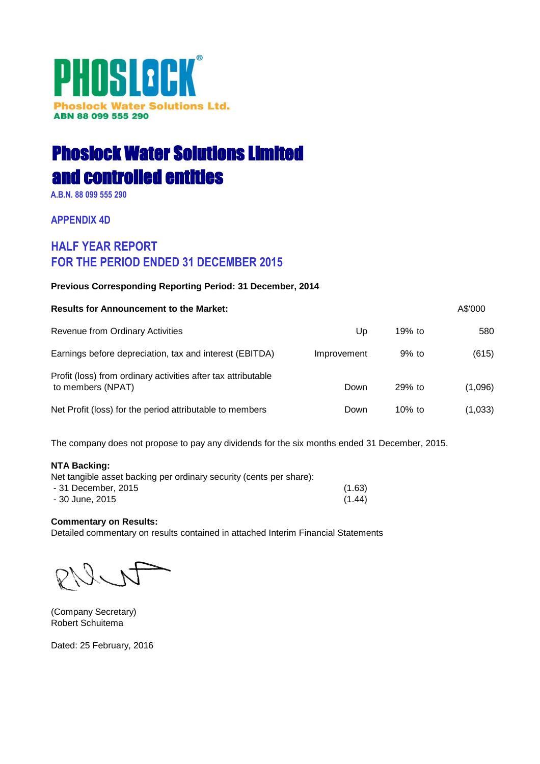# PHOSLOCK® **Phoslock Water Solutions Ltd.** ABN 88 099 555 290

# Phoslock Water Solutions Limited and controlled entities

**A.B.N. 88 099 555 290**

**APPENDIX 4D**

## **HALF YEAR REPORT FOR THE PERIOD ENDED 31 DECEMBER 2015**

## **Previous Corresponding Reporting Period: 31 December, 2014**

| <b>Results for Announcement to the Market:</b>                                     |             |           | A\$'000 |
|------------------------------------------------------------------------------------|-------------|-----------|---------|
| Revenue from Ordinary Activities                                                   | Up          | 19% to    | 580     |
| Earnings before depreciation, tax and interest (EBITDA)                            | Improvement | $9%$ to   | (615)   |
| Profit (loss) from ordinary activities after tax attributable<br>to members (NPAT) | Down        | $29%$ to  | (1,096) |
| Net Profit (loss) for the period attributable to members                           | Down        | $10\%$ to | (1,033) |

The company does not propose to pay any dividends for the six months ended 31 December, 2015.

## **NTA Backing:**

| Net tangible asset backing per ordinary security (cents per share): |        |
|---------------------------------------------------------------------|--------|
| - 31 December. 2015                                                 | (1.63) |
| - 30 June, 2015                                                     | (1.44) |

## **Commentary on Results:**

Detailed commentary on results contained in attached Interim Financial Statements

(Company Secretary) Robert Schuitema

Dated: 25 February, 2016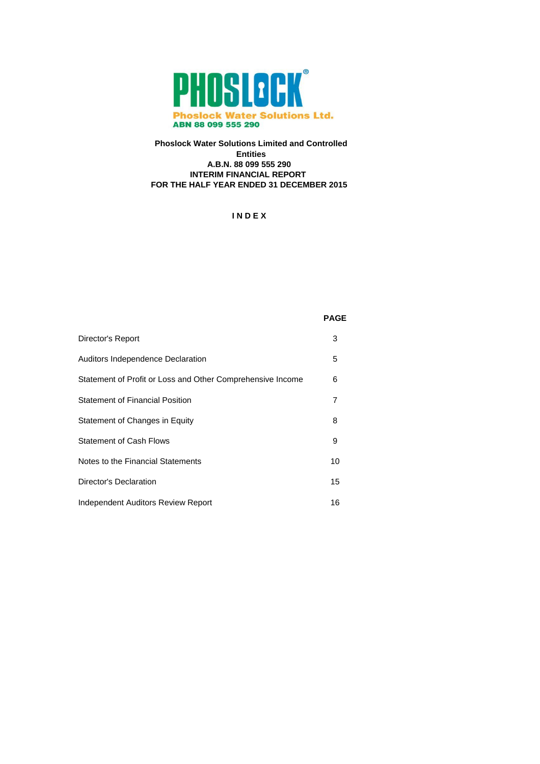

## **Phoslock Water Solutions Limited and Controlled Entities A.B.N. 88 099 555 290 INTERIM FINANCIAL REPORT FOR THE HALF YEAR ENDED 31 DECEMBER 2015**

**I N D E X**

| Director's Report                                          | 3              |
|------------------------------------------------------------|----------------|
| <b>Auditors Independence Declaration</b>                   | 5              |
| Statement of Profit or Loss and Other Comprehensive Income | 6              |
| Statement of Financial Position                            | $\overline{7}$ |
| Statement of Changes in Equity                             | 8              |
| <b>Statement of Cash Flows</b>                             | 9              |
| Notes to the Financial Statements                          | 10             |
| Director's Declaration                                     | 15             |
| <b>Independent Auditors Review Report</b>                  | 16             |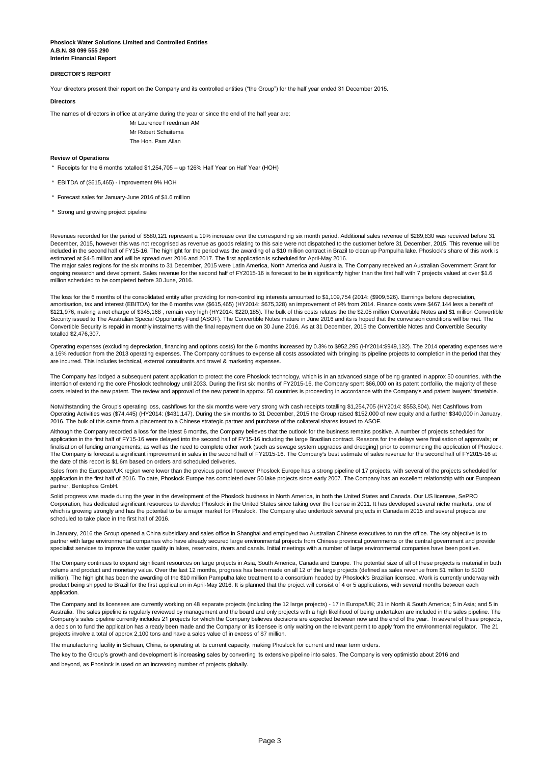**Interim Financial Report Phoslock Water Solutions Limited and Controlled Entities A.B.N. 88 099 555 290**

#### **DIRECTOR'S REPORT**

Your directors present their report on the Company and its controlled entities ("the Group") for the half year ended 31 December 2015.

#### **Directors**

The names of directors in office at anytime during the year or since the end of the half year are:

Mr Laurence Freedman AM Mr Robert Schuitema

The Hon. Pam Allan

#### **Review of Operations**

\* Receipts for the 6 months totalled \$1,254,705 – up 126% Half Year on Half Year (HOH)

- \* EBITDA of (\$615,465) improvement 9% HOH
- \* Forecast sales for January-June 2016 of \$1.6 million
- \* Strong and growing project pipeline

Revenues recorded for the period of \$580,121 represent a 19% increase over the corresponding six month period. Additional sales revenue of \$289,830 was received before 31 December, 2015, however this was not recognised as revenue as goods relating to this sale were not dispatched to the customer before 31 December, 2015. This revenue will be included in the second half of FY15-16. The highlight for the period was the awarding of a \$10 million contract in Brazil to clean up Pampulha lake. Phoslock's share of this work is estimated at \$4-5 million and will be spread over 2016 and 2017. The first application is scheduled for April-May 2016.

The major sales regions for the six months to 31 December, 2015 were Latin America, North America and Australia. The Company received an Australian Government Grant for ongoing research and development. Sales revenue for the second half of FY2015-16 is forecast to be in significantly higher than the first half with 7 projects valued at over \$1.6 million scheduled to be completed before 30 June, 2016.

The loss for the 6 months of the consolidated entity after providing for non-controlling interests amounted to \$1,109,754 (2014: (\$909,526). Earnings before depreciation, amortisation, tax and interest (EBITDA) for the 6 months was (\$615,465) (HY2014: \$675,328) an improvement of 9% from 2014. Finance costs were \$467,144 less a benefit of \$121,976, making a net charge of \$345,168 , remain very high (HY2014: \$220,185). The bulk of this costs relates the the \$2.05 million Convertible Notes and \$1 million Convertible Security issued to The Australian Special Opportunity Fund (ASOF). The Convertible Notes mature in June 2016 and its is hoped that the conversion conditions will be met. The Convertible Security is repaid in monthly instalments with the final repayment due on 30 June 2016. As at 31 December, 2015 the Convertible Notes and Convertible Security totalled \$2,476,307.

Operating expenses (excluding depreciation, financing and options costs) for the 6 months increased by 0.3% to \$952,295 (HY2014:\$949,132). The 2014 operating expenses were a 16% reduction from the 2013 operating expenses. The Company continues to expense all costs associated with bringing its pipeline projects to completion in the period that they are incurred. This includes technical, external consultants and travel & marketing expenses.

The Company has lodged a subsequent patent application to protect the core Phoslock technology, which is in an advanced stage of being granted in approx 50 countries, with the intention of extending the core Phoslock technology until 2033. During the first six months of FY2015-16, the Company spent \$66,000 on its patent portfoilio, the majority of these costs related to the new patent. The review and approval of the new patent in approx. 50 countries is proceeding in accordance with the Company's and patent lawyers' timetable.

Notwithstanding the Group's operating loss, cashflows for the six months were very strong with cash receipts totalling \$1,254,705 (HY2014: \$553,804). Net Cashflows from Operating Activities was (\$74,445) (HY2014: (\$431,147). During the six months to 31 December, 2015 the Group raised \$152,000 of new equity and a further \$340,000 in January, 2016. The bulk of this came from a placement to a Chinese strategic partner and purchase of the collateral shares issued to ASOF.

Although the Company recorded a loss for the latest 6 months, the Company believes that the outlook for the business remains positive. A number of projects scheduled for application in the first half of FY15-16 were delayed into the second half of FY15-16 including the large Brazilian contract. Reasons for the delays were finalisation of approvals; or finalisation of funding arrangements; as well as the need to complete other work (such as sewage system upgrades and dredging) prior to commencing the application of Phoslock. The Company is forecast a significant improvement in sales in the second half of FY2015-16. The Company's best estimate of sales revenue for the second half of FY2015-16 at the date of this report is \$1.6m based on orders and scheduled deliveries.

Sales from the European/UK region were lower than the previous period however Phoslock Europe has a strong pipeline of 17 projects, with several of the projects scheduled for application in the first half of 2016. To date, Phoslock Europe has completed over 50 lake projects since early 2007. The Company has an excellent relationship with our European partner, Bentophos GmbH.

Solid progress was made during the year in the development of the Phoslock business in North America, in both the United States and Canada. Our US licensee, SePRO Corporation, has dedicated significant resources to develop Phoslock in the United States since taking over the license in 2011. It has developed several niche markets, one of which is growing strongly and has the potential to be a major market for Phoslock. The Company also undertook several projects in Canada in 2015 and several projects are scheduled to take place in the first half of 2016.

In January, 2016 the Group opened a China subsidiary and sales office in Shanghai and employed two Australian Chinese executives to run the office. The key objective is to partner with large environmental companies who have already secured large environmental projects from Chinese provincal governments or the central government and provide specialist services to improve the water quality in lakes, reservoirs, rivers and canals. Initial meetings with a number of large environmental companies have been positive.

The Company continues to expend significant resources on large projects in Asia, South America, Canada and Europe. The potential size of all of these projects is material in both volume and product and monetary value. Over the last 12 months, progress has been made on all 12 of the large projects (defined as sales revenue from \$1 million to \$100 million). The highlight has been the awarding of the \$10 million Pampulha lake treatment to a consortium headed by Phoslock's Brazilian licensee. Work is currently underway with product being shipped to Brazil for the first application in April-May 2016. It is planned that the project will consist of 4 or 5 applications, with several months between each application.

The Company and its licensees are currently working on 48 separate projects (including the 12 large projects) - 17 in Europe/UK; 21 in North & South America; 5 in Asia; and 5 in Australia. The sales pipeline is regularly reviewed by management and the board and only projects with a high likelihood of being undertaken are included in the sales pipeline. The Company's sales pipeline currently includes 21 projects for which the Company believes decisions are expected between now and the end of the year. In several of these projects, a decision to fund the application has already been made and the Company or its licensee is only waiting on the relevant permit to apply from the environmental regulator. The 21 projects involve a total of approx 2,100 tons and have a sales value of in excess of \$7 million.

The manufacturing facility in Sichuan, China, is operating at its current capacity, making Phoslock for current and near term orders.

The key to the Group's growth and development is increasing sales by converting its extensive pipeline into sales. The Company is very optimistic about 2016 and and beyond, as Phoslock is used on an increasing number of projects globally.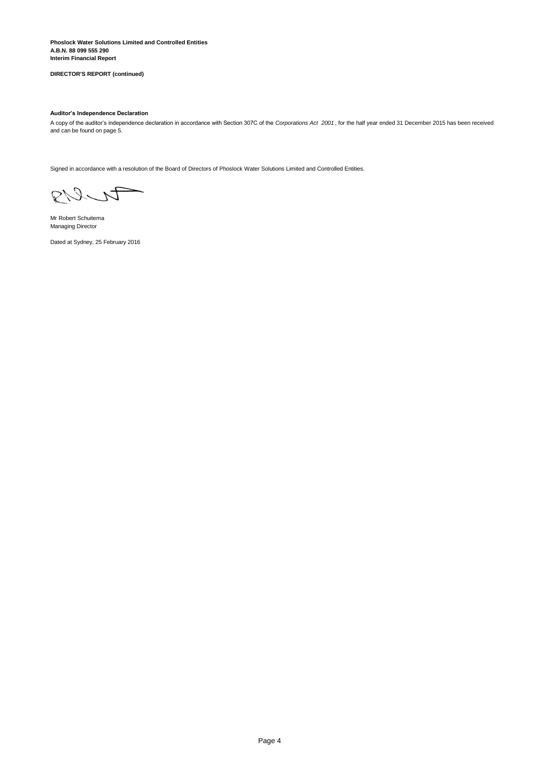**Interim Financial Report Phoslock Water Solutions Limited and Controlled Entities A.B.N. 88 099 555 290**

**DIRECTOR'S REPORT (continued)**

### **Auditor's Independence Declaration**

A copy of the auditor's independence declaration in accordance with Section 307C of the *Corporations Act 2001* , for the half year ended 31 December 2015 has been received and can be found on page 5.

Signed in accordance with a resolution of the Board of Directors of Phoslock Water Solutions Limited and Controlled Entities.

RICT

Mr Robert Schuitema Managing Director

Dated at Sydney, 25 February 2016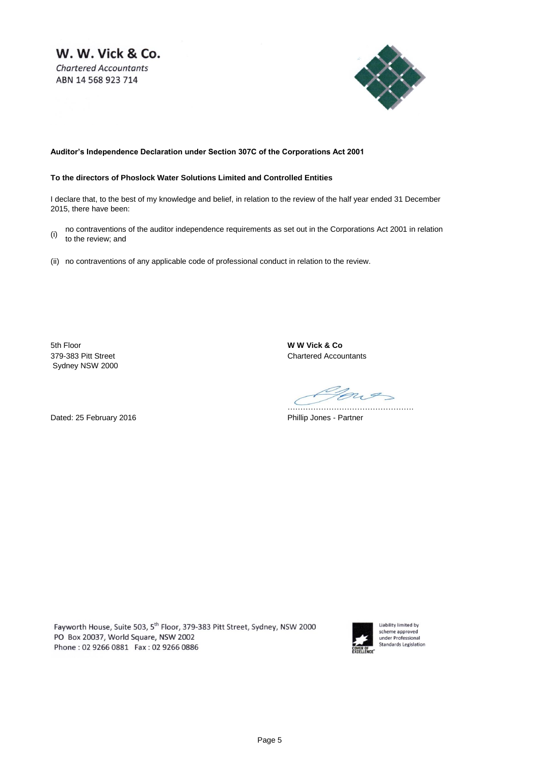W. W. Vick & Co. **Chartered Accountants** ABN 14 568 923 714



## **Auditor's Independence Declaration under Section 307C of the Corporations Act 2001**

## **To the directors of Phoslock Water Solutions Limited and Controlled Entities**

I declare that, to the best of my knowledge and belief, in relation to the review of the half year ended 31 December 2015, there have been:

- (i) no contraventions of the auditor independence requirements as set out in the Corporations Act 2001 in relation to the review; and
- (ii) no contraventions of any applicable code of professional conduct in relation to the review.

5th Floor **W W Vick & Co** Sydney NSW 2000

379-383 Pitt Street Chartered Accountants

nos ………………………………………….

Dated: 25 February 2016 **Phillip Jones - Partner** 

Fayworth House, Suite 503, 5<sup>th</sup> Floor, 379-383 Pitt Street, Sydney, NSW 2000 PO Box 20037, World Square, NSW 2002 Phone: 02 9266 0881 Fax: 02 9266 0886



Liability limited by scheme approved<br>under Professional Standards Legislation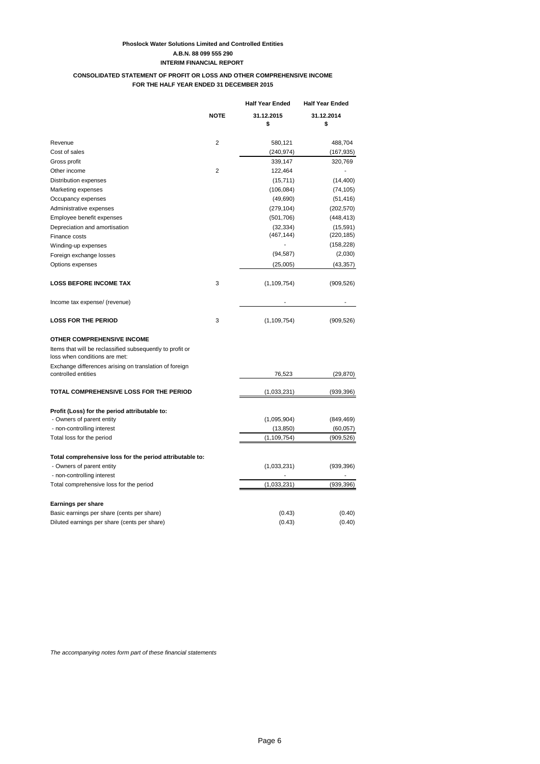## **Phoslock Water Solutions Limited and Controlled Entities A.B.N. 88 099 555 290 INTERIM FINANCIAL REPORT**

## **CONSOLIDATED STATEMENT OF PROFIT OR LOSS AND OTHER COMPREHENSIVE INCOME FOR THE HALF YEAR ENDED 31 DECEMBER 2015**

|                                                                                            |             | <b>Half Year Ended</b> | <b>Half Year Ended</b> |
|--------------------------------------------------------------------------------------------|-------------|------------------------|------------------------|
|                                                                                            | <b>NOTE</b> | 31.12.2015<br>\$       | 31.12.2014<br>\$       |
| Revenue                                                                                    | 2           | 580,121                | 488,704                |
| Cost of sales                                                                              |             | (240, 974)             | (167,935)              |
| Gross profit                                                                               |             | 339,147                | 320,769                |
| Other income                                                                               | 2           | 122,464                |                        |
| Distribution expenses                                                                      |             | (15, 711)              | (14, 400)              |
| Marketing expenses                                                                         |             | (106, 084)             | (74, 105)              |
| Occupancy expenses                                                                         |             | (49,690)               | (51, 416)              |
| Administrative expenses                                                                    |             | (279, 104)             | (202, 570)             |
| Employee benefit expenses                                                                  |             | (501, 706)             | (448, 413)             |
| Depreciation and amortisation                                                              |             | (32, 334)              | (15, 591)              |
| Finance costs                                                                              |             | (467, 144)             | (220, 185)             |
| Winding-up expenses                                                                        |             |                        | (158, 228)             |
| Foreign exchange losses                                                                    |             | (94, 587)              | (2,030)                |
| Options expenses                                                                           |             | (25,005)               | (43, 357)              |
| <b>LOSS BEFORE INCOME TAX</b>                                                              | 3           | (1, 109, 754)          | (909, 526)             |
| Income tax expense/ (revenue)                                                              |             |                        |                        |
| <b>LOSS FOR THE PERIOD</b>                                                                 | 3           | (1, 109, 754)          | (909, 526)             |
| <b>OTHER COMPREHENSIVE INCOME</b>                                                          |             |                        |                        |
| Items that will be reclassified subsequently to profit or<br>loss when conditions are met: |             |                        |                        |
| Exchange differences arising on translation of foreign<br>controlled entities              |             | 76,523                 | (29, 870)              |
| TOTAL COMPREHENSIVE LOSS FOR THE PERIOD                                                    |             | (1,033,231)            | (939, 396)             |
| Profit (Loss) for the period attributable to:                                              |             |                        |                        |
| - Owners of parent entity                                                                  |             | (1,095,904)            | (849, 469)             |
| - non-controlling interest                                                                 |             | (13, 850)              | (60, 057)              |
| Total loss for the period                                                                  |             | (1, 109, 754)          | (909,526)              |
| Total comprehensive loss for the period attributable to:                                   |             |                        |                        |
| - Owners of parent entity                                                                  |             | (1,033,231)            | (939, 396)             |
| - non-controlling interest                                                                 |             |                        |                        |
| Total comprehensive loss for the period                                                    |             | (1,033,231)            | (939,396)              |
| Earnings per share                                                                         |             |                        |                        |
| Basic earnings per share (cents per share)                                                 |             | (0.43)                 | (0.40)                 |
| Diluted earnings per share (cents per share)                                               |             | (0.43)                 | (0.40)                 |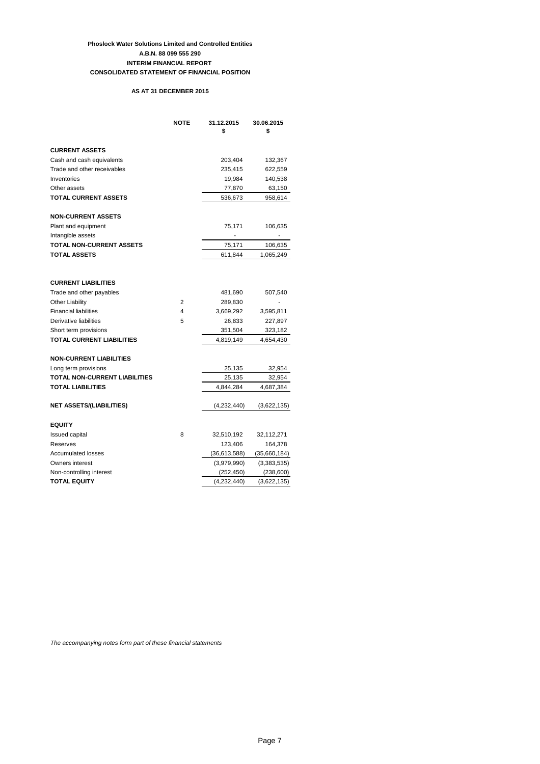## **Phoslock Water Solutions Limited and Controlled Entities A.B.N. 88 099 555 290 CONSOLIDATED STATEMENT OF FINANCIAL POSITION INTERIM FINANCIAL REPORT**

## **AS AT 31 DECEMBER 2015**

|                                 | <b>NOTE</b> | 31.12.2015<br>\$ | 30.06.2015<br>\$ |
|---------------------------------|-------------|------------------|------------------|
| <b>CURRENT ASSETS</b>           |             |                  |                  |
| Cash and cash equivalents       |             | 203,404          | 132,367          |
| Trade and other receivables     |             | 235,415          | 622,559          |
| Inventories                     |             | 19,984           | 140,538          |
| Other assets                    |             | 77,870           | 63,150           |
| <b>TOTAL CURRENT ASSETS</b>     |             | 536,673          | 958,614          |
| <b>NON-CURRENT ASSETS</b>       |             |                  |                  |
| Plant and equipment             |             | 75,171           | 106,635          |
| Intangible assets               |             |                  |                  |
| <b>TOTAL NON-CURRENT ASSETS</b> |             | 75,171           | 106,635          |
| <b>TOTAL ASSETS</b>             |             | 611,844          | 1,065,249        |
|                                 |             |                  |                  |
| <b>CURRENT LIABILITIES</b>      |             |                  |                  |
| Trade and other payables        |             | 481,690          | 507,540          |
| <b>Other Liability</b>          | 2           | 289,830          |                  |
| <b>Financial liabilities</b>    | 4           | 3,669,292        | 3,595,811        |
| Derivative liabilities          | 5           | 26,833           | 227,897          |
| Short term provisions           |             | 351,504          | 323,182          |
| TOTAL CURRENT LIABILITIES       |             | 4,819,149        | 4,654,430        |
| <b>NON-CURRENT LIABILITIES</b>  |             |                  |                  |
| Long term provisions            |             | 25,135           | 32,954           |
| TOTAL NON-CURRENT LIABILITIES   |             | 25,135           | 32,954           |
| TOTAL LIABILITIES               |             | 4,844,284        | 4,687,384        |
| <b>NET ASSETS/(LIABILITIES)</b> |             | (4,232,440)      | (3,622,135)      |
| <b>EQUITY</b>                   |             |                  |                  |
| <b>Issued capital</b>           | 8           | 32,510,192       | 32,112,271       |
| Reserves                        |             | 123,406          | 164,378          |
| <b>Accumulated losses</b>       |             | (36,613,588)     | (35,660,184)     |
| Owners interest                 |             | (3,979,990)      | (3,383,535)      |
| Non-controlling interest        |             | (252, 450)       | (238, 600)       |
| <b>TOTAL EQUITY</b>             |             | (4,232,440)      | (3,622,135)      |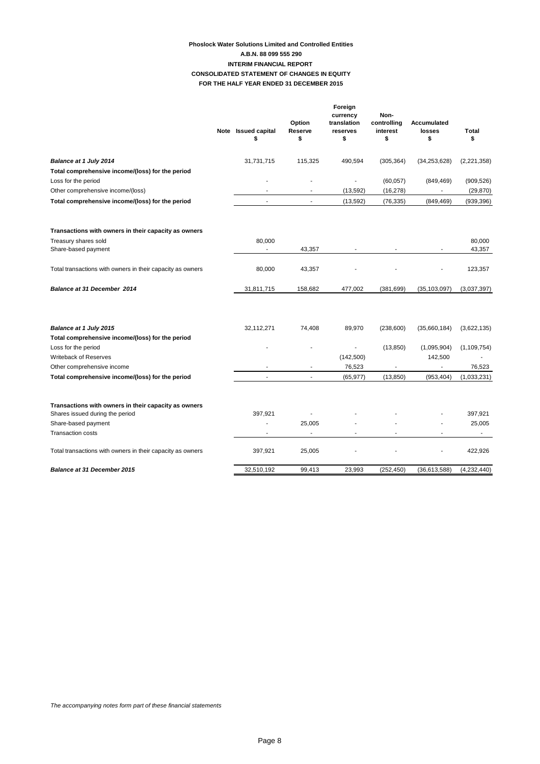## **Phoslock Water Solutions Limited and Controlled Entities FOR THE HALF YEAR ENDED 31 DECEMBER 2015 CONSOLIDATED STATEMENT OF CHANGES IN EQUITY A.B.N. 88 099 555 290 INTERIM FINANCIAL REPORT**

|                                                                                         | Note Issued capital<br>\$          | Option<br>Reserve<br>\$ | Foreign<br>currency<br>translation<br>reserves<br>\$ | Non-<br>controlling<br>interest<br>\$ | Accumulated<br>losses<br>\$ | Total<br>\$      |
|-----------------------------------------------------------------------------------------|------------------------------------|-------------------------|------------------------------------------------------|---------------------------------------|-----------------------------|------------------|
| <b>Balance at 1 July 2014</b>                                                           | 31,731,715                         | 115,325                 | 490,594                                              | (305, 364)                            | (34, 253, 628)              | (2,221,358)      |
| Total comprehensive income/(loss) for the period                                        |                                    |                         |                                                      |                                       |                             |                  |
| Loss for the period                                                                     |                                    |                         | ÷                                                    | (60, 057)                             | (849, 469)                  | (909, 526)       |
| Other comprehensive income/(loss)                                                       | $\sim$                             |                         | (13, 592)                                            | (16, 278)                             |                             | (29, 870)        |
| Total comprehensive income/(loss) for the period                                        |                                    | $\sim$                  | (13, 592)                                            | (76, 335)                             | (849, 469)                  | (939, 396)       |
| Transactions with owners in their capacity as owners                                    |                                    |                         |                                                      |                                       |                             |                  |
| Treasury shares sold<br>Share-based payment                                             | 80,000<br>$\overline{\phantom{a}}$ | 43,357                  |                                                      | $\overline{\phantom{a}}$              |                             | 80,000<br>43,357 |
| Total transactions with owners in their capacity as owners                              | 80,000                             | 43,357                  |                                                      |                                       |                             | 123,357          |
| <b>Balance at 31 December 2014</b>                                                      | 31,811,715                         | 158,682                 | 477,002                                              | (381, 699)                            | (35, 103, 097)              | (3,037,397)      |
|                                                                                         |                                    |                         |                                                      |                                       |                             |                  |
| <b>Balance at 1 July 2015</b>                                                           | 32,112,271                         | 74,408                  | 89,970                                               | (238,600)                             | (35,660,184)                | (3,622,135)      |
| Total comprehensive income/(loss) for the period                                        |                                    |                         |                                                      |                                       |                             |                  |
| Loss for the period                                                                     |                                    |                         | $\blacksquare$                                       | (13, 850)                             | (1,095,904)                 | (1, 109, 754)    |
| Writeback of Reserves                                                                   |                                    |                         | (142, 500)                                           |                                       | 142,500                     |                  |
| Other comprehensive income                                                              |                                    |                         | 76,523                                               |                                       |                             | 76,523           |
| Total comprehensive income/(loss) for the period                                        |                                    | $\sim$                  | (65, 977)                                            | (13, 850)                             | (953, 404)                  | (1,033,231)      |
| Transactions with owners in their capacity as owners<br>Shares issued during the period | 397,921                            |                         |                                                      |                                       |                             | 397,921          |
| Share-based payment                                                                     | ÷,                                 | 25,005                  |                                                      |                                       |                             | 25,005           |
| <b>Transaction costs</b>                                                                |                                    |                         |                                                      |                                       |                             | $\blacksquare$   |
| Total transactions with owners in their capacity as owners                              | 397,921                            | 25,005                  |                                                      |                                       |                             | 422,926          |
| <b>Balance at 31 December 2015</b>                                                      | 32,510,192                         | 99,413                  | 23,993                                               | (252, 450)                            | (36,613,588)                | (4,232,440)      |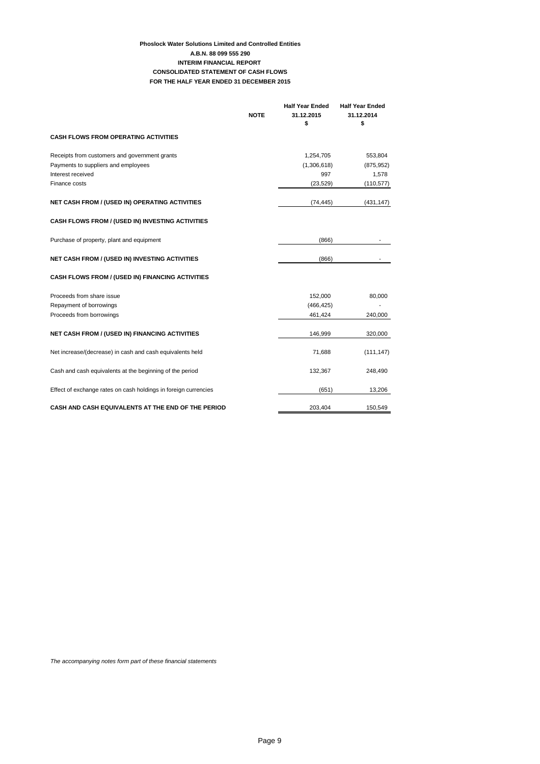## **Phoslock Water Solutions Limited and Controlled Entities CONSOLIDATED STATEMENT OF CASH FLOWS FOR THE HALF YEAR ENDED 31 DECEMBER 2015 A.B.N. 88 099 555 290 INTERIM FINANCIAL REPORT**

|                                                                 |             | <b>Half Year Ended</b> | <b>Half Year Ended</b> |
|-----------------------------------------------------------------|-------------|------------------------|------------------------|
|                                                                 | <b>NOTE</b> | 31.12.2015             | 31.12.2014             |
|                                                                 |             | \$                     | \$                     |
| <b>CASH FLOWS FROM OPERATING ACTIVITIES</b>                     |             |                        |                        |
| Receipts from customers and government grants                   |             | 1,254,705              | 553,804                |
| Payments to suppliers and employees                             |             | (1,306,618)            | (875, 952)             |
| Interest received                                               |             | 997                    | 1,578                  |
| Finance costs                                                   |             | (23, 529)              | (110, 577)             |
| <b>NET CASH FROM / (USED IN) OPERATING ACTIVITIES</b>           |             | (74, 445)              | (431, 147)             |
| CASH FLOWS FROM / (USED IN) INVESTING ACTIVITIES                |             |                        |                        |
| Purchase of property, plant and equipment                       |             | (866)                  |                        |
| <b>NET CASH FROM / (USED IN) INVESTING ACTIVITIES</b>           |             | (866)                  |                        |
| CASH FLOWS FROM / (USED IN) FINANCING ACTIVITIES                |             |                        |                        |
| Proceeds from share issue                                       |             | 152,000                | 80,000                 |
| Repayment of borrowings                                         |             | (466, 425)             |                        |
| Proceeds from borrowings                                        |             | 461,424                | 240,000                |
| <b>NET CASH FROM / (USED IN) FINANCING ACTIVITIES</b>           |             | 146,999                | 320,000                |
| Net increase/(decrease) in cash and cash equivalents held       |             | 71,688                 | (111, 147)             |
| Cash and cash equivalents at the beginning of the period        |             | 132,367                | 248,490                |
| Effect of exchange rates on cash holdings in foreign currencies |             | (651)                  | 13,206                 |
| CASH AND CASH EQUIVALENTS AT THE END OF THE PERIOD              |             | 203,404                | 150,549                |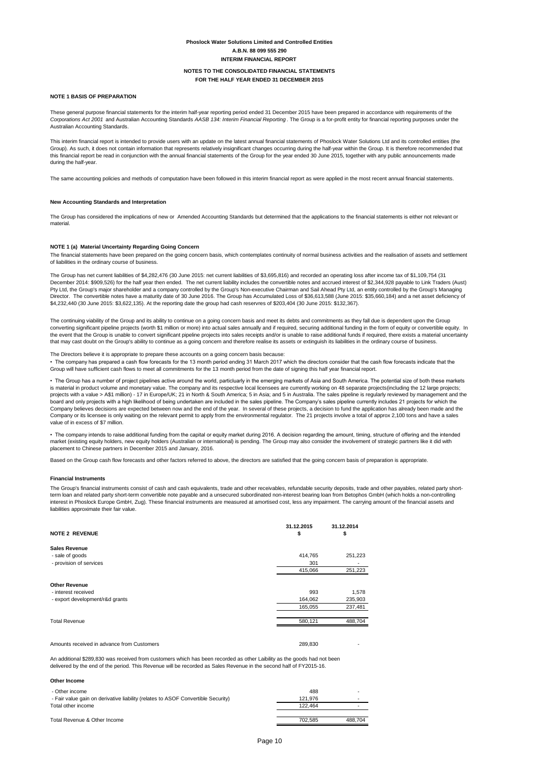## **NOTE 1 BASIS OF PREPARATION**

## **New Accounting Standards and Interpretation**

#### **NOTE 1 (a) Material Uncertainty Regarding Going Concern**

#### **Financial Instruments**

| <b>NOTE 2 REVENUE</b>   | 31.12.2015<br>\$ | 31.12.2014<br>\$ |
|-------------------------|------------------|------------------|
| <b>Sales Revenue</b>    |                  |                  |
| - sale of goods         | 414,765          | 251,223          |
| - provision of services | 301              | $\blacksquare$   |
|                         | 415,066          | 251,223          |
| Other Pevenue           |                  |                  |

| --------------      |     |       |
|---------------------|-----|-------|
| - interest received | 993 | 1.578 |

| - export development/r&d grants | 164.062 | 235,903 |
|---------------------------------|---------|---------|
|                                 | 165.055 | 237,481 |
|                                 |         |         |
| <b>Total Revenue</b>            | 580,121 | 488.704 |
|                                 |         |         |

Amounts received in advance from Customers 289,830 - 289,830 - 289,830 - 289,830 - 289,830 - 289,830 - 289,830

### **NOTES TO THE CONSOLIDATED FINANCIAL STATEMENTS FOR THE HALF YEAR ENDED 31 DECEMBER 2015**

An additional \$289,830 was received from customers which has been recorded as other Laibility as the goods had not been delivered by the end of the period. This Revenue will be recorded as Sales Revenue in the second half of FY2015-16.

#### **Other Income**

| - Other income                                                                   | 488     | $\overline{\phantom{a}}$ |
|----------------------------------------------------------------------------------|---------|--------------------------|
| - Fair value gain on derivative liability (relates to ASOF Convertible Security) | 121.976 | $\blacksquare$           |
| Total other income                                                               | 122.464 | -                        |
|                                                                                  |         |                          |
| Total Revenue & Other Income                                                     | 702.585 | 488.704                  |

These general purpose financial statements for the interim half-year reporting period ended 31 December 2015 have been prepared in accordance with requirements of the *Corporations Act 2001* and Australian Accounting Standards *AASB 134: Interim Financial Reporting* . The Group is a for-profit entity for financial reporting purposes under the Australian Accounting Standards.

## **Phoslock Water Solutions Limited and Controlled Entities A.B.N. 88 099 555 290 INTERIM FINANCIAL REPORT**

The same accounting policies and methods of computation have been followed in this interim financial report as were applied in the most recent annual financial statements.

This interim financial report is intended to provide users with an update on the latest annual financial statements of Phoslock Water Solutions Ltd and its controlled entities (the Group). As such, it does not contain information that represents relatively insignificant changes occurring during the half-year within the Group. It is therefore recommended that this financial report be read in conjunction with the annual financial statements of the Group for the year ended 30 June 2015, together with any public announcements made during the half-year.

The Group has considered the implications of new or Amended Accounting Standards but determined that the applications to the financial statements is either not relevant or material.

The financial statements have been prepared on the going concern basis, which contemplates continuity of normal business activities and the realisation of assets and settlement of liabilities in the ordinary course of business.

The Group has net current liabilities of \$4,282,476 (30 June 2015: net current liabilities of \$3,695,816) and recorded an operating loss after income tax of \$1,109,754 (31 December 2014: \$909,526) for the half year then ended. The net current liability includes the convertible notes and accrued interest of \$2,344,928 payable to Link Traders (Aust) Pty Ltd, the Group's major shareholder and a company controlled by the Group's Non-executive Chairman and Sail Ahead Pty Ltd, an entity controlled by the Group's Managing Director. The convertible notes have a maturity date of 30 June 2016. The Group has Accumulated Loss of \$36,613,588 (June 2015: \$35,660,184) and a net asset deficiency of \$4,232,440 (30 June 2015: \$3,622,135). At the reporting date the group had cash reservres of \$203,404 (30 June 2015: \$132,367).

The continuing viability of the Group and its ability to continue on a going concern basis and meet its debts and commitments as they fall due is dependent upon the Group converting significant pipeline projects (worth \$1 million or more) into actual sales annually and if required, securing additional funding in the form of equity or convertible equity. In the event that the Group is unable to convert significant pipeline projects into sales receipts and/or is unable to raise additional funds if required, there exists a material uncertainty that may cast doubt on the Group's ability to continue as a going concern and therefore realise its assets or extinguish its liabilities in the ordinary course of business.

#### The Directors believe it is appropriate to prepare these accounts on a going concern basis because:

• The company has prepared a cash flow forecasts for the 13 month period ending 31 March 2017 which the directors consider that the cash flow forecasts indicate that the Group will have sufficient cash flows to meet all commitments for the 13 month period from the date of signing this half year financial report.

• The Group has a number of project pipelines active around the world, particluarly in the emerging markets of Asia and South America. The potential size of both these markets is material in product volume and monetary value. The company and its respective local licensees are currently working on 48 separate projects(including the 12 large projects; projects with a value > A\$1 million) - 17 in Europe/UK; 21 in North & South America; 5 in Asia; and 5 in Australia. The sales pipeline is regularly reviewed by management and the board and only projects with a high likelihood of being undertaken are included in the sales pipeline. The Company's sales pipeline currently includes 21 projects for which the Company believes decisions are expected between now and the end of the year. In several of these projects, a decision to fund the application has already been made and the Company or its licensee is only waiting on the relevant permit to apply from the environmental regulator. The 21 projects involve a total of approx 2,100 tons and have a sales value of in excess of \$7 million.

The Group's financial instruments consist of cash and cash equivalents, trade and other receivables, refundable security deposits, trade and other payables, related party shortterm loan and related party short-term convertible note payable and a unsecured subordinated non-interest bearing loan from Betophos GmbH (which holds a non-controlling interest in Phoslock Europe GmbH, Zug). These financial instruments are measured at amortised cost, less any impairment. The carrying amount of the financial assets and liabilities approximate their fair value.

• The company intends to raise additional funding from the capital or equity market during 2016. A decision regarding the amount, timing, structure of offering and the intended market (existing equity holders, new equity holders (Australian or international) is pending. The Group may also consider the involvement of strategic partners like it did with placement to Chinese partners in December 2015 and January, 2016.

Based on the Group cash flow forecasts and other factors referred to above, the directors are satisfied that the going concern basis of preparation is appropriate.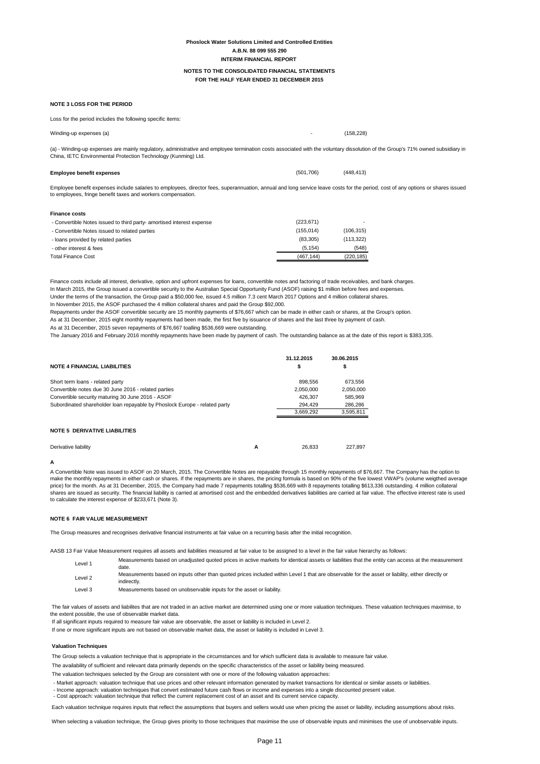## **Phoslock Water Solutions Limited and Controlled Entities A.B.N. 88 099 555 290 INTERIM FINANCIAL REPORT**

#### **NOTE 3 LOSS FOR THE PERIOD**

### **Employee benefit expenses** (501,706) (448,413)

| <b>Finance costs</b>                                                  |            |            |
|-----------------------------------------------------------------------|------------|------------|
| - Convertible Notes issued to third party- amortised interest expense | (223, 671) |            |
| - Convertible Notes issued to related parties                         | (155, 014) | (106,315)  |
| - loans provided by related parties                                   | (83, 305)  | (113, 322) |
| - other interest & fees                                               | (5.154)    | (548)      |
| <b>Total Finance Cost</b>                                             | (467.144)  | (220, 185) |

Finance costs include all interest, derivative, option and upfront expenses for loans, convertible notes and factoring of trade receivables, and bank charges. In March 2015, the Group issued a convertible security to the Australian Special Opportunity Fund (ASOF) raising \$1 million before fees and expenses. Under the terms of the transaction, the Group paid a \$50,000 fee, issued 4.5 million 7.3 cent March 2017 Options and 4 million collateral shares. In November 2015, the ASOF purchased the 4 million collateral shares and paid the Group \$92,000.

Repayments under the ASOF convertible security are 15 monthly payments of \$76,667 which can be made in either cash or shares, at the Group's option. As at 31 December, 2015 eight monthly repayments had been made, the first five by issuance of shares and the last three by payment of cash. As at 31 December, 2015 seven repayments of \$76,667 toalling \$536,669 were outstanding.

The January 2016 and February 2016 monthly repayments have been made by payment of cash. The outstanding balance as at the date of this report is \$383,335.

| <b>NOTE 4 FINANCIAL LIABILITIES</b>                                        |   | 31.12.2015<br>\$ | 30.06.2015<br>\$ |
|----------------------------------------------------------------------------|---|------------------|------------------|
| Short term loans - related party                                           |   | 898,556          | 673,556          |
| Convertible notes due 30 June 2016 - related parties                       |   | 2,050,000        | 2,050,000        |
| Convertible security maturing 30 June 2016 - ASOF                          |   | 426,307          | 585,969          |
| Subordinated shareholder loan repayable by Phoslock Europe - related party |   | 294,429          | 286,286          |
|                                                                            |   | 3,669,292        | 3,595,811        |
| <b>NOTE 5 DERIVATIVE LIABILITIES</b>                                       |   |                  |                  |
| Derivative liability                                                       | А | 26,833           | 227.897          |

#### **A**

#### **NOTE 6 FAIR VALUE MEASUREMENT**

(a) - Winding-up expenses are mainly regulatory, administrative and employee termination costs associated with the voluntary dissolution of the Group's 71% owned subsidiary in China, IETC Environmental Protection Technology (Kunming) Ltd.

Loss for the period includes the following specific items:

Winding-up expenses (a)  $(158,228)$ 

A Convertible Note was issued to ASOF on 20 March, 2015. The Convertible Notes are repayable through 15 monthly repayments of \$76,667. The Company has the option to make the monthly repayments in either cash or shares. If the repayments are in shares, the pricing formula is based on 90% of the five lowest VWAP's (volume weigthed average price) for the month. As at 31 December, 2015, the Company had made 7 repayments totalling \$536,669 with 8 repayments totalling \$613,336 outstanding. 4 million collateral shares are issued as security. The financial liability is carried at amortised cost and the embedded derivatives liabilities are carried at fair value. The effective interest rate is used to calculate the interest expense of \$233,671 (Note 3).

#### **Valuation Techniques**

| Level 1            | Measurements based on unadjusted quoted prices in active markets for identical assets or liabilities that the entity can access at the measurement<br>date.     |
|--------------------|-----------------------------------------------------------------------------------------------------------------------------------------------------------------|
| Level <sub>2</sub> | Measurements based on inputs other than quoted prices included within Level 1 that are observable for the asset or liability, either directly or<br>indirectly. |
| Level 3            | Measurements based on unobservable inputs for the asset or liability.                                                                                           |

The Group selects a valuation technique that is appropriate in the circumstances and for which sufficient data is available to measure fair value.

The availability of sufficient and relevant data primarily depends on the specific characteristics of the asset or liability being measured.

The valuation techniques selected by the Group are consistent with one or more of the following valuation approaches:

The Group measures and recognises derivative financial instruments at fair value on a recurring basis after the initial recognition.

AASB 13 Fair Value Measurement requires all assets and liabilities measured at fair value to be assigned to a level in the fair value hierarchy as follows:

If one or more significant inputs are not based on observable market data, the asset or liability is included in Level 3. If all significant inputs required to measure fair value are observable, the asset or liability is included in Level 2.

 The fair values of assets and liabilites that are not traded in an active market are determined using one or more valuation techniques. These valuation techniques maximise, to the extent possible, the use of observable market data.

- Market approach: valuation technique that use prices and other relevant information generated by market transactions for identical or similar assets or liabilities.
- Income approach: valuation techniques that convert estimated future cash flows or income and expenses into a single discounted present value.
- Cost approach: valuation technique that reflect the current replacement cost of an asset and its current service capacity.

Each valuation technique requires inputs that reflect the assumptions that buyers and sellers would use when pricing the asset or liability, including assumptions about risks.

When selecting a valuation technique, the Group gives priority to those techniques that maximise the use of observable inputs and minimises the use of unobservable inputs.

Employee benefit expenses include salaries to employees, director fees, superannuation, annual and long service leave costs for the period, cost of any options or shares issued to employees, fringe benefit taxes and workers compensation.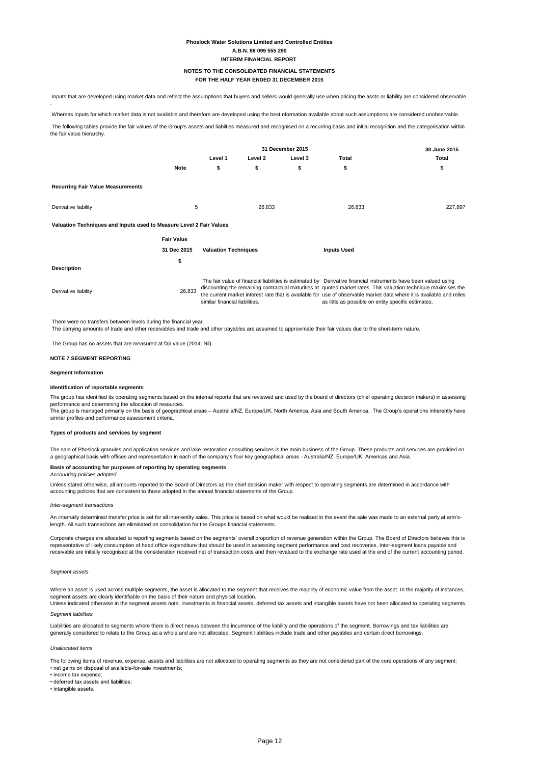## **Phoslock Water Solutions Limited and Controlled Entities A.B.N. 88 099 555 290 INTERIM FINANCIAL REPORT**

There were no transfers between levels during the financial year.

The Group has no assets that are measured at fair value (2014: Nil).

#### **NOTE 7 SEGMENT REPORTING**

The group has identified its operating segments based on the internal reports that are reviewed and used by the board of directors (chief operating decision makers) in assessing performance and determining the allocation of resources.

#### **Segment Information**

#### **Identification of reportable segments**

#### **Types of products and services by segment**

#### **Basis of accounting for purposes of reporting by operating segments**

#### *Accounting policies adopted*

#### *Inter-segment transactions*

#### *Segment assets*

Where an asset is used across multiple segments, the asset is allocated to the segment that receives the majority of economic value from the asset. In the majority of instances,

#### *Segment liabilities*

#### *Unallocated items*

The group is managed primarily on the basis of geographical areas – Australia/NZ, Europe/UK, North America, Asia and South America. The Group's operations inherently have similar profiles and performance assessment criteria.

An internally determined transfer price is set for all inter-entity sales. This price is based on what would be realised in the event the sale was made to an external party at arm'slength. All such transactions are eliminated on consolidation for the Groups financial statements.

The sale of Phoslock granules and application services and lake restoration consulting services is the main business of the Group. These products and services are provided on a geographical basis with offices and representation in each of the company's four key geographical areas - Australia/NZ, Europe/UK, Americas and Asia.

Unless stated otherwise, all amounts reported to the Board of Directors as the chief decision maker with respect to operating segments are determined in accordance with accounting policies that are consistent to those adopted in the annual financial statements of the Group.

Liabilities are allocated to segments where there is direct nexus between the incurrence of the liability and the operations of the segment. Borrowings and tax liabilities are generally considered to relate to the Group as a whole and are not allocated. Segment liabilities include trade and other payables and certain direct borrowings.

The following tables provide the fair values of the Group's assets and liabilties measured and recognised on a recurring basis and initial recognition and the categorisation within the fair value hierarchy.

|                                                                     |                   | 31 December 2015               |         |         |                                                                                                                                                                                                                                                                                                                                                                                                                    |         |
|---------------------------------------------------------------------|-------------------|--------------------------------|---------|---------|--------------------------------------------------------------------------------------------------------------------------------------------------------------------------------------------------------------------------------------------------------------------------------------------------------------------------------------------------------------------------------------------------------------------|---------|
|                                                                     |                   | Level 1                        | Level 2 | Level 3 | Total                                                                                                                                                                                                                                                                                                                                                                                                              | Total   |
|                                                                     | <b>Note</b>       | \$                             | \$      | \$      | \$                                                                                                                                                                                                                                                                                                                                                                                                                 | \$      |
| <b>Recurring Fair Value Measurements</b>                            |                   |                                |         |         |                                                                                                                                                                                                                                                                                                                                                                                                                    |         |
| Derivative liability                                                | 5                 |                                | 26,833  |         | 26,833                                                                                                                                                                                                                                                                                                                                                                                                             | 227,897 |
| Valuation Techniques and Inputs used to Measure Level 2 Fair Values |                   |                                |         |         |                                                                                                                                                                                                                                                                                                                                                                                                                    |         |
|                                                                     | <b>Fair Value</b> |                                |         |         |                                                                                                                                                                                                                                                                                                                                                                                                                    |         |
|                                                                     | 31 Dec 2015       | <b>Valuation Techniques</b>    |         |         | <b>Inputs Used</b>                                                                                                                                                                                                                                                                                                                                                                                                 |         |
|                                                                     | \$                |                                |         |         |                                                                                                                                                                                                                                                                                                                                                                                                                    |         |
| <b>Description</b>                                                  |                   |                                |         |         |                                                                                                                                                                                                                                                                                                                                                                                                                    |         |
| Derivative liability                                                | 26,833            | similar financial liabilities. |         |         | The fair value of financial liabilities is estimated by Derivative financial instruments have been valued using<br>discounting the remaining contractual maturities at quoted market rates. This valuation technique maximises the<br>the current market interest rate that is available for use of observable market data where it is available and relies<br>as little as possible on entity specific estimates. |         |

Corporate charges are allocated to reporting segments based on the segments' overall proportion of revenue generation within the Group. The Board of Directors believes this is representative of likely consumption of head office expenditure that should be used in assessing segment performance and cost recoveries. Inter-segment loans payable and receivable are initially recognised at the consideration received net of transaction costs and then revalued to the exchange rate used at the end of the current accounting period.

segment assets are clearly identifiable on the basis of their nature and physical location.

Unless indicated otherwise in the segment assets note, investments in financial assets, deferred tax assets and intangible assets have not been allocated to operating segments.

The following items of revenue, expense, assets and liabilities are not allocated to operating segments as they are not considered part of the core operations of any segment:

• net gains on disposal of available-for-sale investments;

- income tax expense;
- deferred tax assets and liabilities;

• intangible assets.

The carrying amounts of trade and other receivables and trade and other payables are assumed to approximate their fair values due to the short-term nature.

 Inputs that are developed using market data and reflect the assumptions that buyers and sellers would generally use when pricing the assts or liability are considered observable .

Whereas inputs for which market data is not available and therefore are developed using the best nformation available about such assumptions are considered unobservable.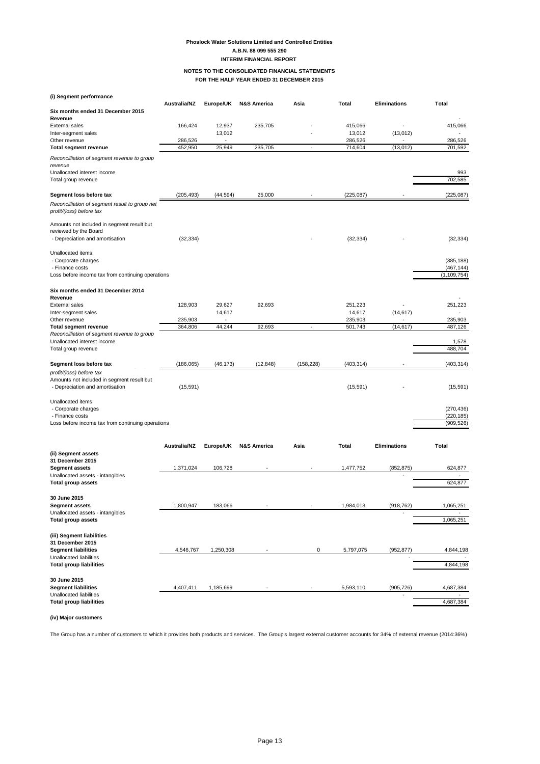## **Phoslock Water Solutions Limited and Controlled Entities A.B.N. 88 099 555 290 INTERIM FINANCIAL REPORT**

**(i) Segment performance**

**Segment liabilities** 4,407,411 1,185,699 - 5,593,110 (905,726) 4,687,384 Unallocated liabilities - -

**Total group liabilities** 4,687,384

|                                                                                                              | Australia/NZ        | Europe/UK        | <b>N&amp;S America</b> | Asia           | <b>Total</b>      | <b>Eliminations</b> | <b>Total</b>                |
|--------------------------------------------------------------------------------------------------------------|---------------------|------------------|------------------------|----------------|-------------------|---------------------|-----------------------------|
| Six months ended 31 December 2015                                                                            |                     |                  |                        |                |                   |                     |                             |
| Revenue<br><b>External sales</b>                                                                             | 166,424             |                  |                        |                |                   |                     |                             |
| Inter-segment sales                                                                                          |                     | 12,937<br>13,012 | 235,705                |                | 415,066<br>13,012 | (13, 012)           | 415,066                     |
| Other revenue                                                                                                | 286,526             | $\sim$           |                        |                | 286,526           |                     | 286,526                     |
| <b>Total segment revenue</b>                                                                                 | 452,950             | 25,949           | 235,705                | $\blacksquare$ | 714,604           | (13, 012)           | 701,592                     |
| Reconcilliation of segment revenue to group<br>revenue<br>Unallocated interest income<br>Total group revenue |                     |                  |                        |                |                   |                     | 993<br>702,585              |
|                                                                                                              |                     |                  |                        |                |                   |                     |                             |
| Segment loss before tax                                                                                      | (205, 493)          | (44, 594)        | 25,000                 |                | (225, 087)        |                     | (225,087)                   |
| Reconcilliation of segment result to group net<br>profit/(loss) before tax                                   |                     |                  |                        |                |                   |                     |                             |
| Amounts not included in segment result but<br>reviewed by the Board<br>- Depreciation and amortisation       | (32, 334)           |                  |                        |                | (32, 334)         |                     | (32, 334)                   |
| Unallocated items:<br>- Corporate charges                                                                    |                     |                  |                        |                |                   |                     | (385, 188)                  |
| - Finance costs<br>Loss before income tax from continuing operations                                         |                     |                  |                        |                |                   |                     | (467, 144)<br>(1, 109, 754) |
| Six months ended 31 December 2014<br>Revenue                                                                 |                     |                  |                        |                |                   |                     |                             |
| <b>External sales</b>                                                                                        | 128,903             | 29,627           | 92,693                 |                | 251,223           |                     | 251,223                     |
| Inter-segment sales                                                                                          |                     | 14,617           |                        |                | 14,617            | (14, 617)           |                             |
| Other revenue                                                                                                | 235,903             |                  |                        |                | 235,903           |                     | 235,903                     |
| <b>Total segment revenue</b><br>Reconcilliation of segment revenue to group                                  | 364,806             | 44,244           | 92,693                 | $\sim$         | 501,743           | (14, 617)           | 487,126                     |
| Unallocated interest income<br>Total group revenue                                                           |                     |                  |                        |                |                   |                     | 1,578<br>488,704            |
| Segment loss before tax                                                                                      | (186,065)           | (46, 173)        | (12, 848)              | (158, 228)     | (403, 314)        |                     | (403, 314)                  |
| profit/(loss) before tax<br>Amounts not included in segment result but<br>- Depreciation and amortisation    | (15, 591)           |                  |                        |                | (15, 591)         |                     | (15, 591)                   |
| Unallocated items:                                                                                           |                     |                  |                        |                |                   |                     |                             |
| - Corporate charges<br>- Finance costs                                                                       |                     |                  |                        |                |                   |                     | (270, 436)<br>(220, 185)    |
| Loss before income tax from continuing operations                                                            |                     |                  |                        |                |                   |                     | (909, 526)                  |
| (ii) Segment assets                                                                                          | <b>Australia/NZ</b> | Europe/UK        | <b>N&amp;S America</b> | Asia           | Total             | <b>Eliminations</b> | <b>Total</b>                |
| 31 December 2015                                                                                             |                     |                  |                        |                |                   |                     |                             |
| <b>Segment assets</b>                                                                                        | 1,371,024           | 106,728          | $\sim$                 |                | 1,477,752         | (852, 875)          | 624,877                     |
| Unallocated assets - intangibles<br><b>Total group assets</b>                                                |                     |                  |                        |                |                   |                     | 624,877                     |
| 30 June 2015<br><b>Segment assets</b>                                                                        | 1,800,947           | 183,066          |                        |                | 1,984,013         | (918, 762)          | 1,065,251                   |
| Unallocated assets - intangibles                                                                             |                     |                  |                        |                |                   |                     |                             |
| <b>Total group assets</b>                                                                                    |                     |                  |                        |                |                   |                     | 1,065,251                   |
| (iii) Segment liabilities<br>31 December 2015                                                                |                     |                  |                        |                |                   |                     |                             |
| <b>Segment liabilities</b>                                                                                   | 4,546,767           | 1,250,308        |                        | 0              | 5,797,075         | (952, 877)          | 4,844,198                   |
| Unallocated liabilities<br><b>Total group liabilities</b>                                                    |                     |                  |                        |                |                   |                     | 4,844,198                   |
| 30 June 2015                                                                                                 |                     |                  |                        |                |                   |                     |                             |

**(iv) Major customers**

The Group has a number of customers to which it provides both products and services. The Group's largest external customer accounts for 34% of external revenue (2014:36%)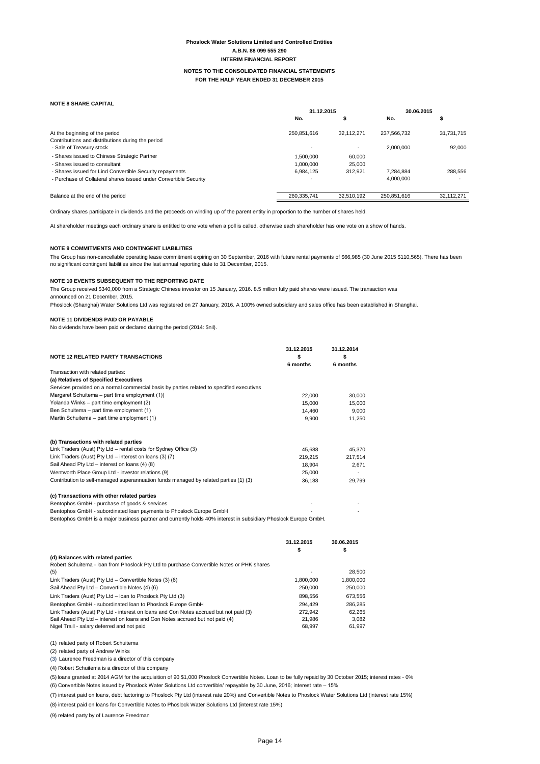## **Phoslock Water Solutions Limited and Controlled Entities A.B.N. 88 099 555 290 INTERIM FINANCIAL REPORT**

#### **NOTE 8 SHARE CAPITAL**

#### **NOTE 9 COMMITMENTS AND CONTINGENT LIABILITIES**

### **NOTE 10 EVENTS SUBSEQUENT TO THE REPORTING DATE**

The Group received \$340,000 from a Strategic Chinese investor on 15 January, 2016. 8.5 million fully paid shares were issued. The transaction was announced on 21 December, 2015.

Phoslock (Shanghai) Water Solutions Ltd was registered on 27 January, 2016. A 100% owned subsidiary and sales office has been established in Shanghai.

#### **NOTE 11 DIVIDENDS PAID OR PAYABLE**

No dividends have been paid or declared during the period (2014: \$nil).

|                                                                   | 31.12.2015               |            | 30.06.2015  |            |
|-------------------------------------------------------------------|--------------------------|------------|-------------|------------|
|                                                                   | No.                      |            | No.         | л          |
| At the beginning of the period                                    | 250,851,616              | 32.112.271 | 237,566,732 | 31,731,715 |
| Contributions and distributions during the period                 |                          |            |             |            |
| - Sale of Treasury stock                                          | $\overline{\phantom{a}}$ |            | 2.000.000   | 92,000     |
| - Shares issued to Chinese Strategic Partner                      | 1.500.000                | 60,000     |             |            |
| - Shares issued to consultant                                     | 1.000.000                | 25,000     |             |            |
| - Shares issued for Lind Convertible Security repayments          | 6,984,125                | 312.921    | 7,284,884   | 288,556    |
| - Purchase of Collateral shares issued under Convertible Security |                          |            | 4,000,000   |            |
|                                                                   |                          |            |             |            |
| Balance at the end of the period                                  | 260,335,741              | 32.510.192 | 250,851,616 | 32.112.271 |

(1) related party of Robert Schuitema

(2) related party of Andrew Winks

(3) Laurence Freedman is a director of this company

(4) Robert Schuitema is a director of this company

|         | 31.12.2014                                                                                                                                                                                  |
|---------|---------------------------------------------------------------------------------------------------------------------------------------------------------------------------------------------|
|         | \$<br>6 months                                                                                                                                                                              |
|         |                                                                                                                                                                                             |
|         |                                                                                                                                                                                             |
|         |                                                                                                                                                                                             |
|         |                                                                                                                                                                                             |
|         | 30,000                                                                                                                                                                                      |
|         | 15,000                                                                                                                                                                                      |
| 14,460  | 9,000                                                                                                                                                                                       |
| 9,900   | 11,250                                                                                                                                                                                      |
|         |                                                                                                                                                                                             |
|         |                                                                                                                                                                                             |
|         | 45,370                                                                                                                                                                                      |
| 219,215 | 217,514                                                                                                                                                                                     |
| 18,904  | 2,671                                                                                                                                                                                       |
| 25,000  |                                                                                                                                                                                             |
| 36,188  | 29,799                                                                                                                                                                                      |
|         |                                                                                                                                                                                             |
|         |                                                                                                                                                                                             |
|         |                                                                                                                                                                                             |
|         |                                                                                                                                                                                             |
|         | 30.06.2015                                                                                                                                                                                  |
|         | 31.12.2015<br>\$<br>6 months<br>22,000<br>15,000<br>45,688<br>Bentophos GmbH is a major business partner and currently holds 40% interest in subsidiary Phoslock Europe GmbH.<br>31.12.2015 |

(6) Convertible Notes issued by Phoslock Water Solutions Ltd convertible/ repayable by 30 June, 2016; interest rate – 15%

| (d) Balances with related parties                                                         |           |           |
|-------------------------------------------------------------------------------------------|-----------|-----------|
| Robert Schuitema - Ioan from Phoslock Pty Ltd to purchase Convertible Notes or PHK shares |           |           |
| (5)                                                                                       |           | 28,500    |
| Link Traders (Aust) Pty Ltd – Convertible Notes (3) (6)                                   | 1.800.000 | 1,800,000 |
| Sail Ahead Pty Ltd - Convertible Notes (4) (6)                                            | 250,000   | 250,000   |
| Link Traders (Aust) $P$ ty Ltd – Ioan to Phoslock $P$ ty Ltd (3)                          | 898.556   | 673,556   |
| Bentophos GmbH - subordinated loan to Phoslock Europe GmbH                                | 294.429   | 286,285   |
| Link Traders (Aust) Pty Ltd - interest on loans and Con Notes accrued but not paid (3)    | 272.942   | 62,265    |
| Sail Ahead Pty Ltd – interest on loans and Con Notes accrued but not paid (4)             | 21.986    | 3.082     |
| Nigel Traill - salary deferred and not paid                                               | 68.997    | 61.997    |

(7) interest paid on loans, debt factoring to Phoslock Pty Ltd (interest rate 20%) and Convertible Notes to Phoslock Water Solutions Ltd (interest rate 15%)

(8) interest paid on loans for Convertible Notes to Phoslock Water Solutions Ltd (interest rate 15%)

(9) related party by of Laurence Freedman

(5) loans granted at 2014 AGM for the acquisition of 90 \$1,000 Phoslock Convertible Notes. Loan to be fully repaid by 30 October 2015; interest rates - 0%

The Group has non-cancellable operating lease commitment expiring on 30 September, 2016 with future rental payments of \$66,985 (30 June 2015 \$110,565). There has been no significant contingent liabilities since the last annual reporting date to 31 December, 2015.

Ordinary shares participate in dividends and the proceeds on winding up of the parent entity in proportion to the number of shares held.

At shareholder meetings each ordinary share is entitled to one vote when a poll is called, otherwise each shareholder has one vote on a show of hands.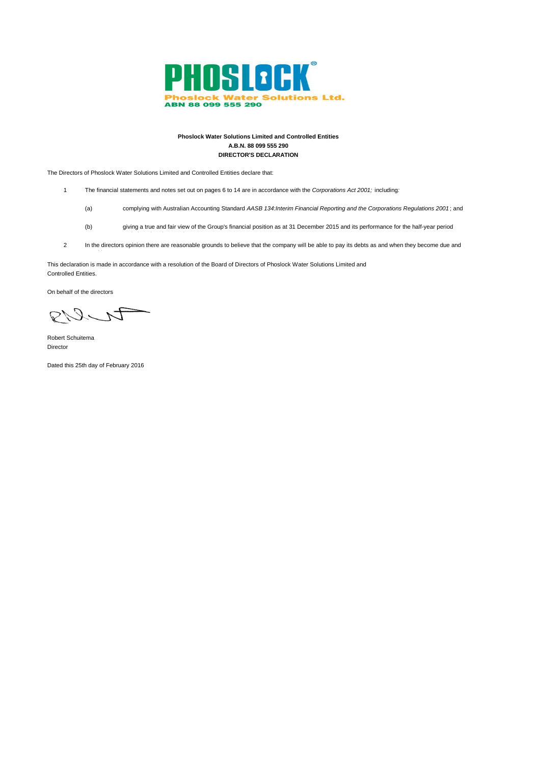

## **Phoslock Water Solutions Limited and Controlled Entities A.B.N. 88 099 555 290 DIRECTOR'S DECLARATION**

The Directors of Phoslock Water Solutions Limited and Controlled Entities declare that:

ended on that date; and

- 1 The financial statements and notes set out on pages 6 to 14 are in accordance with the *Corporations Act 2001;* including*:*
	- (a) complying with Australian Accounting Standard *AASB 134:Interim Financial Reporting and the Corporations Regulations 2001* ; and
	- (b) giving a true and fair view of the Group's financial position as at 31 December 2015 and its performance for the half-year period
- 2 In the directors opinion there are reasonable grounds to believe that the company will be able to pay its debts as and when they become due and

This declaration is made in accordance with a resolution of the Board of Directors of Phoslock Water Solutions Limited and Controlled Entities.

On behalf of the directors

PULI

payable.

Robert Schuitema Director

Dated this 25th day of February 2016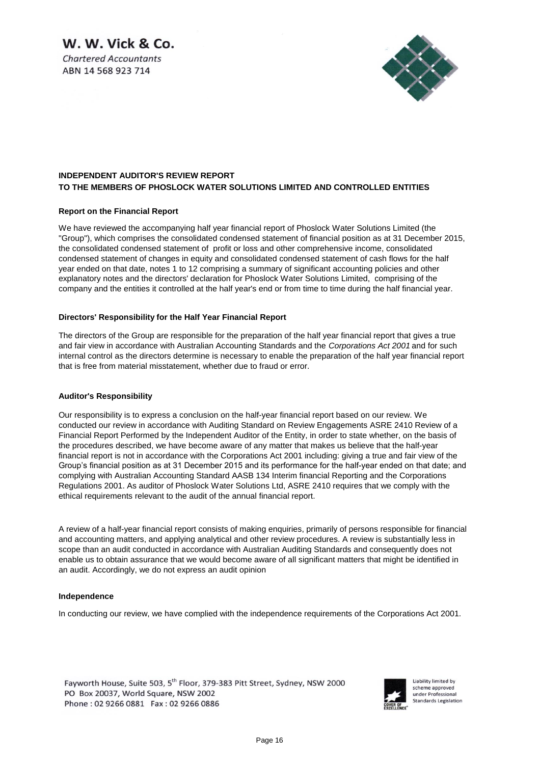W. W. Vick & Co.

**Chartered Accountants** ABN 14 568 923 714



## **INDEPENDENT AUDITOR'S REVIEW REPORT TO THE MEMBERS OF PHOSLOCK WATER SOLUTIONS LIMITED AND CONTROLLED ENTITIES**

## **Report on the Financial Report**

We have reviewed the accompanying half year financial report of Phoslock Water Solutions Limited (the "Group"), which comprises the consolidated condensed statement of financial position as at 31 December 2015, the consolidated condensed statement of profit or loss and other comprehensive income, consolidated condensed statement of changes in equity and consolidated condensed statement of cash flows for the half year ended on that date, notes 1 to 12 comprising a summary of significant accounting policies and other explanatory notes and the directors' declaration for Phoslock Water Solutions Limited, comprising of the company and the entities it controlled at the half year's end or from time to time during the half financial year.

## **Directors' Responsibility for the Half Year Financial Report**

The directors of the Group are responsible for the preparation of the half year financial report that gives a true and fair view in accordance with Australian Accounting Standards and the *Corporations Act 2001* and for such internal control as the directors determine is necessary to enable the preparation of the half year financial report that is free from material misstatement, whether due to fraud or error.

## **Auditor's Responsibility**

Our responsibility is to express a conclusion on the half-year financial report based on our review. We conducted our review in accordance with Auditing Standard on Review Engagements ASRE 2410 Review of a Financial Report Performed by the Independent Auditor of the Entity, in order to state whether, on the basis of the procedures described, we have become aware of any matter that makes us believe that the half-year financial report is not in accordance with the Corporations Act 2001 including: giving a true and fair view of the Group's financial position as at 31 December 2015 and its performance for the half-year ended on that date; and complying with Australian Accounting Standard AASB 134 Interim financial Reporting and the Corporations Regulations 2001. As auditor of Phoslock Water Solutions Ltd, ASRE 2410 requires that we comply with the ethical requirements relevant to the audit of the annual financial report.

A review of a half-year financial report consists of making enquiries, primarily of persons responsible for financial and accounting matters, and applying analytical and other review procedures. A review is substantially less in scope than an audit conducted in accordance with Australian Auditing Standards and consequently does not enable us to obtain assurance that we would become aware of all significant matters that might be identified in an audit. Accordingly, we do not express an audit opinion

## **Independence**

In conducting our review, we have complied with the independence requirements of the Corporations Act 2001.

Fayworth House, Suite 503, 5<sup>th</sup> Floor, 379-383 Pitt Street, Sydney, NSW 2000 PO Box 20037, World Square, NSW 2002 Phone: 02 9266 0881 Fax: 02 9266 0886



Liability limited by scheme approved under Professional **Standards Legislation**